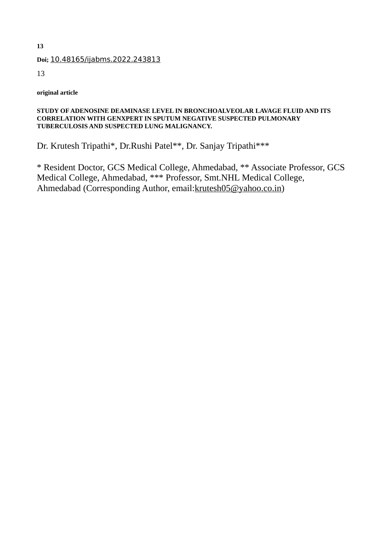#### **Doi;** 10.48165/ijabms.2022.243813

13

**original article**

#### **STUDY OF ADENOSINE DEAMINASE LEVEL IN BRONCHOALVEOLAR LAVAGE FLUID AND ITS CORRELATION WITH GENXPERT IN SPUTUM NEGATIVE SUSPECTED PULMONARY TUBERCULOSIS AND SUSPECTED LUNG MALIGNANCY.**

Dr. Krutesh Tripathi\*, Dr.Rushi Patel\*\*, Dr. Sanjay Tripathi\*\*\*

\* Resident Doctor, GCS Medical College, Ahmedabad, \*\* Associate Professor, GCS Medical College, Ahmedabad, \*\*\* Professor, Smt.NHL Medical College, Ahmedabad (Corresponding Author, email: krutesh05@yahoo.co.in)

**13**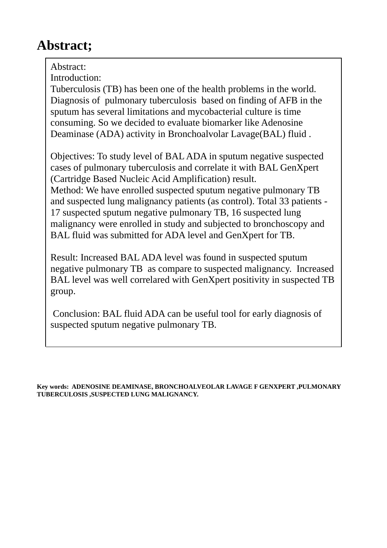# **Abstract;**

Abstract:

Introduction:

Tuberculosis (TB) has been one of the health problems in the world. Diagnosis of pulmonary tuberculosis based on finding of AFB in the sputum has several limitations and mycobacterial culture is time consuming. So we decided to evaluate biomarker like Adenosine Deaminase (ADA) activity in Bronchoalvolar Lavage(BAL) fluid .

Objectives: To study level of BAL ADA in sputum negative suspected cases of pulmonary tuberculosis and correlate it with BAL GenXpert (Cartridge Based Nucleic Acid Amplification) result. Method: We have enrolled suspected sputum negative pulmonary TB and suspected lung malignancy patients (as control). Total 33 patients - 17 suspected sputum negative pulmonary TB, 16 suspected lung malignancy were enrolled in study and subjected to bronchoscopy and BAL fluid was submitted for ADA level and GenXpert for TB.

Result: Increased BAL ADA level was found in suspected sputum negative pulmonary TB as compare to suspected malignancy. Increased BAL level was well correlared with GenXpert positivity in suspected TB group.

Conclusion: BAL fluid ADA can be useful tool for early diagnosis of suspected sputum negative pulmonary TB.

**Key words: ADENOSINE DEAMINASE, BRONCHOALVEOLAR LAVAGE F GENXPERT ,PULMONARY TUBERCULOSIS ,SUSPECTED LUNG MALIGNANCY.**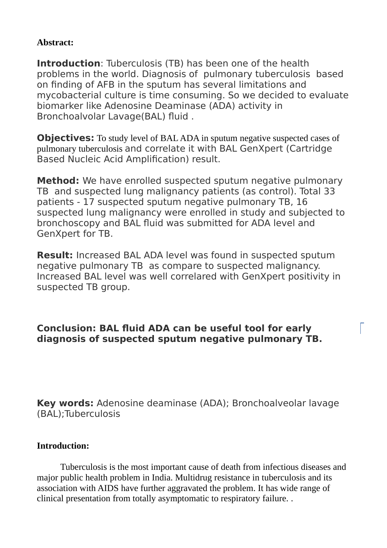### **Abstract:**

**Introduction**: Tuberculosis (TB) has been one of the health problems in the world. Diagnosis of pulmonary tuberculosis based on finding of AFB in the sputum has several limitations and mycobacterial culture is time consuming. So we decided to evaluate biomarker like Adenosine Deaminase (ADA) activity in Bronchoalvolar Lavage(BAL) fluid .

**Objectives:** To study level of BAL ADA in sputum negative suspected cases of pulmonary tuberculosis and correlate it with BAL GenXpert (Cartridge Based Nucleic Acid Amplification) result.

**Method:** We have enrolled suspected sputum negative pulmonary TB and suspected lung malignancy patients (as control). Total 33 patients - 17 suspected sputum negative pulmonary TB, 16 suspected lung malignancy were enrolled in study and subjected to bronchoscopy and BAL fluid was submitted for ADA level and GenXpert for TB.

**Result:** Increased BAL ADA level was found in suspected sputum negative pulmonary TB as compare to suspected malignancy. Increased BAL level was well correlared with GenXpert positivity in suspected TB group.

# **Conclusion: BAL fluid ADA can be useful tool for early diagnosis of suspected sputum negative pulmonary TB.**

**Key words:** Adenosine deaminase (ADA); Bronchoalveolar lavage (BAL);Tuberculosis

#### **Introduction:**

Tuberculosis is the most important cause of death from infectious diseases and major public health problem in India. Multidrug resistance in tuberculosis and its association with AIDS have further aggravated the problem. It has wide range of clinical presentation from totally asymptomatic to respiratory failure. .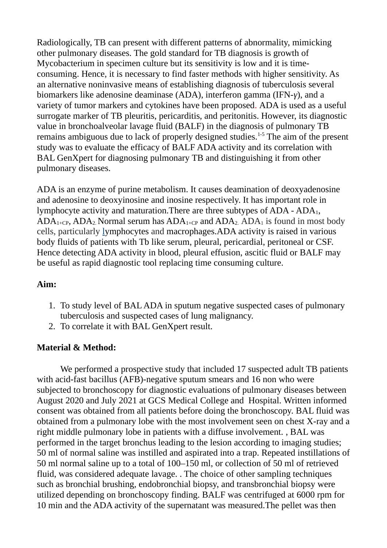Radiologically, TB can present with different patterns of abnormality, mimicking other pulmonary diseases. The gold standard for TB diagnosis is growth of Mycobacterium in specimen culture but its sensitivity is low and it is timeconsuming. Hence, it is necessary to find faster methods with higher sensitivity. As an alternative noninvasive means of establishing diagnosis of tuberculosis several biomarkers like adenosine deaminase (ADA), interferon gamma (IFN-*γ*), and a variety of tumor markers and cytokines have been proposed. ADA is used as a useful surrogate marker of TB pleuritis, pericarditis, and peritonitis. However, its diagnostic value in bronchoalveolar lavage fluid (BALF) in the diagnosis of pulmonary TB remains ambiguous due to lack of properly designed studies.1-5 The aim of the present study was to evaluate the efficacy of BALF ADA activity and its correlation with BAL GenXpert for diagnosing pulmonary TB and distinguishing it from other pulmonary diseases.

ADA is an enzyme of purine metabolism. It causes deamination of deoxyadenosine and adenosine to deoxyinosine and inosine respectively. It has important role in lymphocyte activity and maturation. There are three subtypes of  $ADA - ADA_1$ ,  $ADA<sub>1+CP</sub>$ ,  $ADA<sub>2</sub>$ . Normal serum has  $ADA<sub>1+CP</sub>$  and  $ADA<sub>2</sub>$ .  $ADA<sub>1</sub>$  is found in most body cells, particularly [lymphocytes](https://en.wikipedia.org/wiki/Lymphocyte) and [macrophages.](https://en.wikipedia.org/wiki/Macrophage)ADA activity is raised in various body fluids of patients with Tb like serum, pleural, pericardial, peritoneal or CSF. Hence detecting ADA activity in blood, pleural effusion, ascitic fluid or BALF may be useful as rapid diagnostic tool replacing time consuming culture.

#### **Aim:**

- 1. To study level of BAL ADA in sputum negative suspected cases of pulmonary tuberculosis and suspected cases of lung malignancy.
- 2. To correlate it with BAL GenXpert result.

### **Material & Method:**

We performed a prospective study that included 17 suspected adult TB patients with acid-fast bacillus (AFB)-negative sputum smears and 16 non who were subjected to bronchoscopy for diagnostic evaluations of pulmonary diseases between August 2020 and July 2021 at GCS Medical College and Hospital. Written informed consent was obtained from all patients before doing the bronchoscopy. BAL fluid was obtained from a pulmonary lobe with the most involvement seen on chest X-ray and a right middle pulmonary lobe in patients with a diffuse involvement. , BAL was performed in the target bronchus leading to the lesion according to imaging studies; 50 ml of normal saline was instilled and aspirated into a trap. Repeated instillations of 50 ml normal saline up to a total of 100–150 ml, or collection of 50 ml of retrieved fluid, was considered adequate lavage. . The choice of other sampling techniques such as bronchial brushing, endobronchial biopsy, and transbronchial biopsy were utilized depending on bronchoscopy finding. BALF was centrifuged at 6000 rpm for 10 min and the ADA activity of the supernatant was measured.The pellet was then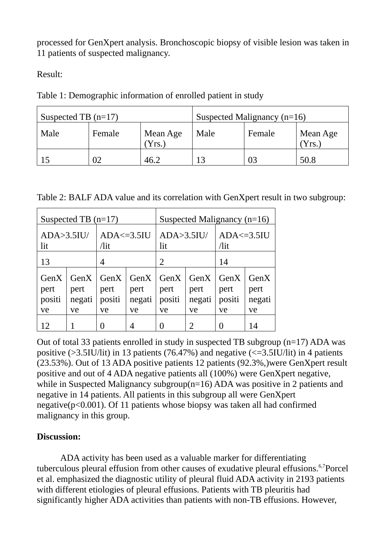processed for GenXpert analysis. Bronchoscopic biopsy of visible lesion was taken in 11 patients of suspected malignancy.

Result:

| Suspected TB $(n=17)$ |        |                  | Suspected Malignancy $(n=16)$ |        |                  |  |
|-----------------------|--------|------------------|-------------------------------|--------|------------------|--|
| Male                  | Female | Mean Age<br>Yrs. | Male                          | Female | Mean Age<br>Yrs. |  |
|                       | 02     | 46.2             | 13                            | 03     | 50.8             |  |

Table 1: Demographic information of enrolled patient in study

|  |  |  |  |  | Table 2: BALF ADA value and its correlation with GenXpert result in two subgroup: |  |
|--|--|--|--|--|-----------------------------------------------------------------------------------|--|
|  |  |  |  |  |                                                                                   |  |

| Suspected TB $(n=17)$        |                              |                               |                              | Suspected Malignancy $(n=16)$ |                              |                              |                              |  |
|------------------------------|------------------------------|-------------------------------|------------------------------|-------------------------------|------------------------------|------------------------------|------------------------------|--|
| $ADA > 3.5$ IU/<br>lit       |                              | $ADA \le 3.5$<br>$\sqrt{$ lit |                              | $ADA > 3.5$ IU/<br>lit        |                              | $ADA \le 3.5$<br>$\pi$       |                              |  |
| 13                           |                              | 4                             |                              | $\overline{2}$                |                              | 14                           |                              |  |
| GenX<br>pert<br>positi<br>ve | GenX<br>pert<br>negati<br>ve | GenX<br>pert<br>positi<br>ve  | GenX<br>pert<br>negati<br>ve | GenX<br>pert<br>positi<br>ve  | GenX<br>pert<br>negati<br>ve | GenX<br>pert<br>positi<br>ve | GenX<br>pert<br>negati<br>ve |  |
| 12                           |                              |                               | 4                            |                               | 2                            |                              | 14                           |  |

Out of total 33 patients enrolled in study in suspected TB subgroup (n=17) ADA was positive ( $>3.5$ IU/lit) in 13 patients (76.47%) and negative ( $\leq=3.5$ IU/lit) in 4 patients (23.53%). Out of 13 ADA positive patients 12 patients (92.3%,)were GenXpert result positive and out of 4 ADA negative patients all (100%) were GenXpert negative, while in Suspected Malignancy subgroup(n=16) ADA was positive in 2 patients and negative in 14 patients. All patients in this subgroup all were GenXpert negative(p<0.001). Of 11 patients whose biopsy was taken all had confirmed malignancy in this group.

### **Discussion:**

ADA activity has been used as a valuable marker for differentiating tuberculous pleural effusion from other causes of exudative pleural effusions. $6.7$ Porcel et al. emphasized the diagnostic utility of pleural fluid ADA activity in 2193 patients with different etiologies of pleural effusions. Patients with TB pleuritis had significantly higher ADA activities than patients with non-TB effusions. However,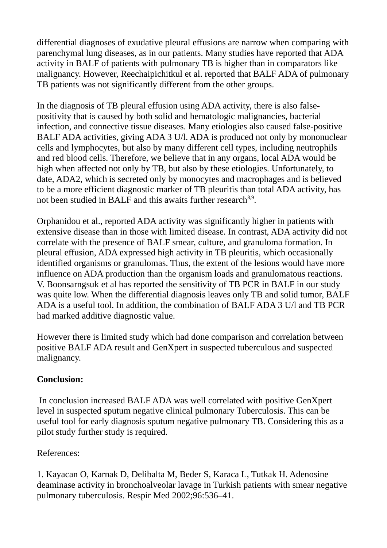differential diagnoses of exudative pleural effusions are narrow when comparing with parenchymal lung diseases, as in our patients. Many studies have reported that ADA activity in BALF of patients with pulmonary TB is higher than in comparators like malignancy. However, Reechaipichitkul et al. reported that BALF ADA of pulmonary TB patients was not significantly different from the other groups.

In the diagnosis of TB pleural effusion using ADA activity, there is also falsepositivity that is caused by both solid and hematologic malignancies, bacterial infection, and connective tissue diseases. Many etiologies also caused false-positive BALF ADA activities, giving ADA 3 U/l. ADA is produced not only by mononuclear cells and lymphocytes, but also by many different cell types, including neutrophils and red blood cells. Therefore, we believe that in any organs, local ADA would be high when affected not only by TB, but also by these etiologies. Unfortunately, to date, ADA2, which is secreted only by monocytes and macrophages and is believed to be a more efficient diagnostic marker of TB pleuritis than total ADA activity, has not been studied in BALF and this awaits further research $^{8,9}$ .

Orphanidou et al., reported ADA activity was significantly higher in patients with extensive disease than in those with limited disease. In contrast, ADA activity did not correlate with the presence of BALF smear, culture, and granuloma formation. In pleural effusion, ADA expressed high activity in TB pleuritis, which occasionally identified organisms or granulomas. Thus, the extent of the lesions would have more influence on ADA production than the organism loads and granulomatous reactions. V. Boonsarngsuk et al has reported the sensitivity of TB PCR in BALF in our study was quite low. When the differential diagnosis leaves only TB and solid tumor, BALF ADA is a useful tool. In addition, the combination of BALF ADA 3 U/l and TB PCR had marked additive diagnostic value.

However there is limited study which had done comparison and correlation between positive BALF ADA result and GenXpert in suspected tuberculous and suspected malignancy.

# **Conclusion:**

In conclusion increased BALF ADA was well correlated with positive GenXpert level in suspected sputum negative clinical pulmonary Tuberculosis. This can be useful tool for early diagnosis sputum negative pulmonary TB. Considering this as a pilot study further study is required.

References:

1. Kayacan O, Karnak D, Delibalta M, Beder S, Karaca L, Tutkak H. Adenosine deaminase activity in bronchoalveolar lavage in Turkish patients with smear negative pulmonary tuberculosis. Respir Med 2002;96:536–41.